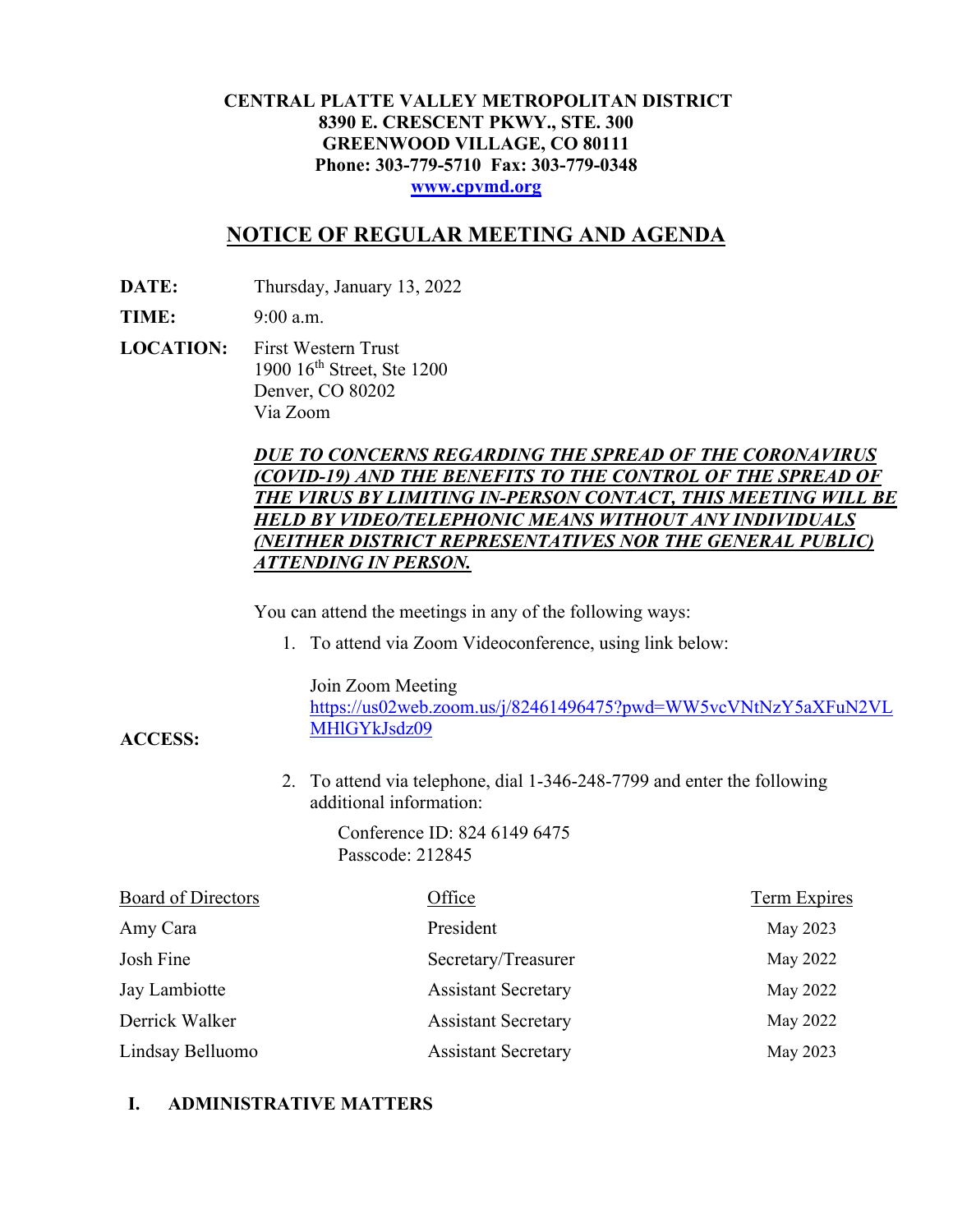#### **CENTRAL PLATTE VALLEY METROPOLITAN DISTRICT 8390 E. CRESCENT PKWY., STE. 300 GREENWOOD VILLAGE, CO 80111 Phone: 303-779-5710 Fax: 303-779-0348 www.cpvmd.org**

## **NOTICE OF REGULAR MEETING AND AGENDA**

**DATE:** Thursday, January 13, 2022

**TIME:** 9:00 a.m.

**ACCESS:** 

**LOCATION:** First Western Trust 1900 16th Street, Ste 1200 Denver, CO 80202 Via Zoom

#### *DUE TO CONCERNS REGARDING THE SPREAD OF THE CORONAVIRUS (COVID-19) AND THE BENEFITS TO THE CONTROL OF THE SPREAD OF THE VIRUS BY LIMITING IN-PERSON CONTACT, THIS MEETING WILL BE HELD BY VIDEO/TELEPHONIC MEANS WITHOUT ANY INDIVIDUALS (NEITHER DISTRICT REPRESENTATIVES NOR THE GENERAL PUBLIC) ATTENDING IN PERSON.*

You can attend the meetings in any of the following ways:

1. To attend via Zoom Videoconference, using link below:

Join Zoom Meeting

https://us02web.zoom.us/j/82461496475?pwd=WW5vcVNtNzY5aXFuN2VL MHlGYkJsdz09

2. To attend via telephone, dial 1-346-248-7799 and enter the following additional information:

> Conference ID: 824 6149 6475 Passcode: 212845

| Board of Directors | Office                     | Term Expires |
|--------------------|----------------------------|--------------|
| Amy Cara           | President                  | May 2023     |
| Josh Fine          | Secretary/Treasurer        | May 2022     |
| Jay Lambiotte      | <b>Assistant Secretary</b> | May 2022     |
| Derrick Walker     | <b>Assistant Secretary</b> | May 2022     |
| Lindsay Belluomo   | <b>Assistant Secretary</b> | May 2023     |

## **I. ADMINISTRATIVE MATTERS**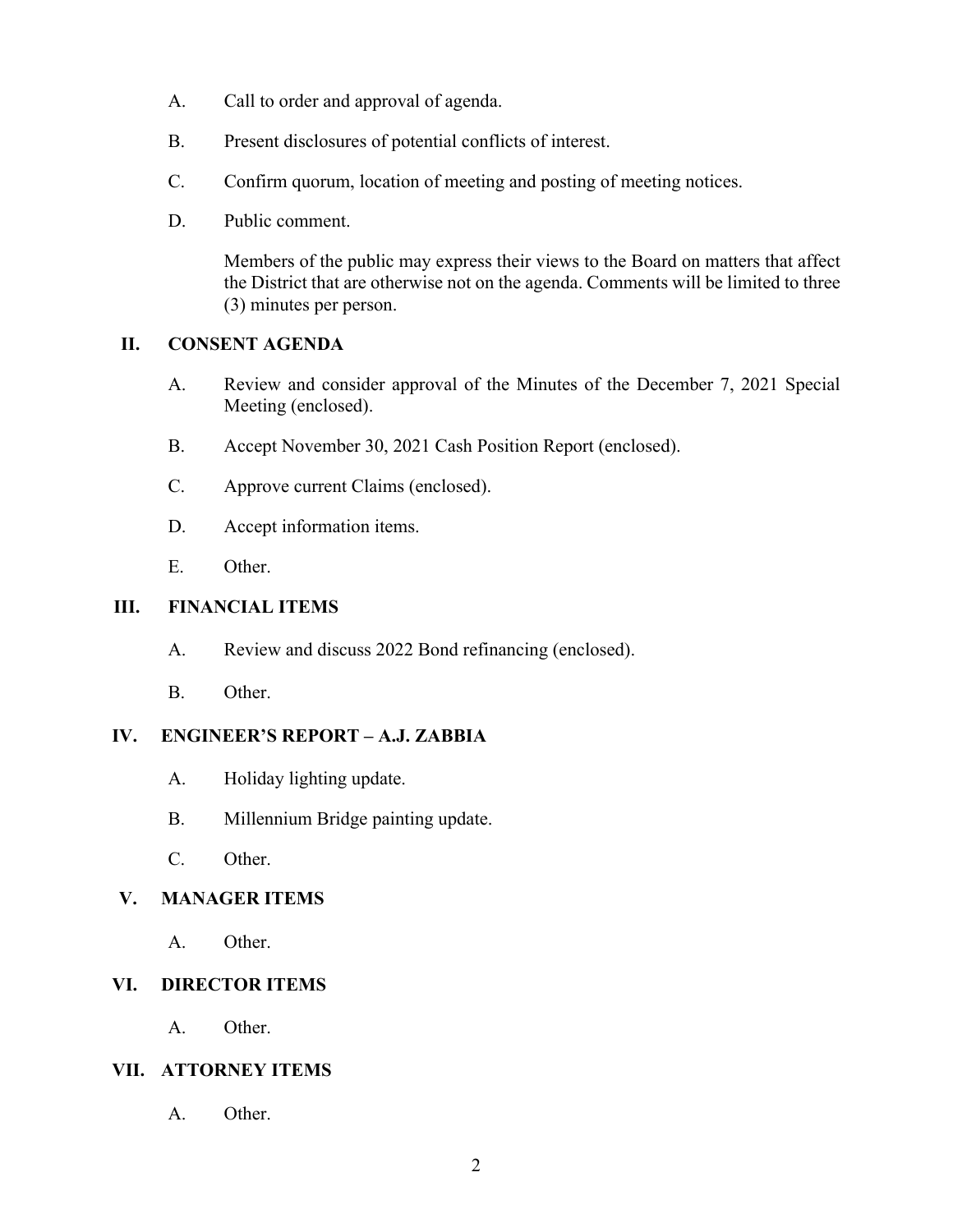- A. Call to order and approval of agenda.
- B. Present disclosures of potential conflicts of interest.
- C. Confirm quorum, location of meeting and posting of meeting notices.
- D. Public comment.

Members of the public may express their views to the Board on matters that affect the District that are otherwise not on the agenda. Comments will be limited to three (3) minutes per person.

## **II. CONSENT AGENDA**

- A. Review and consider approval of the Minutes of the December 7, 2021 Special Meeting (enclosed).
- B. Accept November 30, 2021 Cash Position Report (enclosed).
- C. Approve current Claims (enclosed).
- D. Accept information items.
- E. Other.

#### **III. FINANCIAL ITEMS**

- A. Review and discuss 2022 Bond refinancing (enclosed).
- B. Other.

## **IV. ENGINEER'S REPORT – A.J. ZABBIA**

- A. Holiday lighting update.
- B. Millennium Bridge painting update.
- C. Other.

#### **V. MANAGER ITEMS**

A. Other.

## **VI. DIRECTOR ITEMS**

A. Other.

## **VII. ATTORNEY ITEMS**

A. Other.